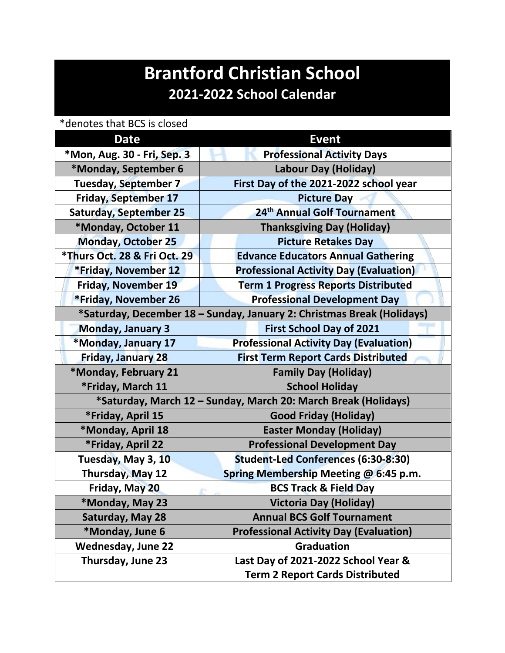## **Brantford Christian School 2021-2022 School Calendar**

\*denotes that BCS is closed

| <b>Date</b>                                                            | <b>Event</b>                                  |
|------------------------------------------------------------------------|-----------------------------------------------|
| *Mon, Aug. 30 - Fri, Sep. 3                                            | <b>Professional Activity Days</b>             |
| *Monday, September 6                                                   | Labour Day (Holiday)                          |
| <b>Tuesday, September 7</b>                                            | First Day of the 2021-2022 school year        |
| <b>Friday, September 17</b>                                            | <b>Picture Day</b>                            |
| <b>Saturday, September 25</b>                                          | 24 <sup>th</sup> Annual Golf Tournament       |
| *Monday, October 11                                                    | <b>Thanksgiving Day (Holiday)</b>             |
| <b>Monday, October 25</b>                                              | <b>Picture Retakes Day</b>                    |
| *Thurs Oct. 28 & Fri Oct. 29                                           | <b>Edvance Educators Annual Gathering</b>     |
| <b>*Friday, November 12</b>                                            | <b>Professional Activity Day (Evaluation)</b> |
| <b>Friday, November 19</b>                                             | <b>Term 1 Progress Reports Distributed</b>    |
| *Friday, November 26                                                   | <b>Professional Development Day</b>           |
| *Saturday, December 18 - Sunday, January 2: Christmas Break (Holidays) |                                               |
| <b>Monday, January 3</b>                                               | <b>First School Day of 2021</b>               |
| *Monday, January 17                                                    | <b>Professional Activity Day (Evaluation)</b> |
| <b>Friday, January 28</b>                                              | <b>First Term Report Cards Distributed</b>    |
| *Monday, February 21                                                   | <b>Family Day (Holiday)</b>                   |
| *Friday, March 11                                                      | <b>School Holiday</b>                         |
| *Saturday, March 12 - Sunday, March 20: March Break (Holidays)         |                                               |
| *Friday, April 15                                                      | <b>Good Friday (Holiday)</b>                  |
| *Monday, April 18                                                      | <b>Easter Monday (Holiday)</b>                |
| *Friday, April 22                                                      | <b>Professional Development Day</b>           |
| Tuesday, May 3, 10                                                     | <b>Student-Led Conferences (6:30-8:30)</b>    |
| Thursday, May 12                                                       | Spring Membership Meeting @ 6:45 p.m.         |
| Friday, May 20                                                         | <b>BCS Track &amp; Field Day</b>              |
| *Monday, May 23                                                        | <b>Victoria Day (Holiday)</b>                 |
| Saturday, May 28                                                       | <b>Annual BCS Golf Tournament</b>             |
| *Monday, June 6                                                        | <b>Professional Activity Day (Evaluation)</b> |
| <b>Wednesday, June 22</b>                                              | <b>Graduation</b>                             |
| Thursday, June 23                                                      | Last Day of 2021-2022 School Year &           |
|                                                                        | <b>Term 2 Report Cards Distributed</b>        |